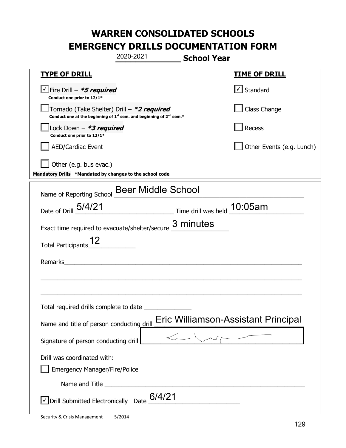|                                                                                                                                           | 2020-2021                                                                                                                                                                                                                            | <b>School Year</b>                                      |                                     |
|-------------------------------------------------------------------------------------------------------------------------------------------|--------------------------------------------------------------------------------------------------------------------------------------------------------------------------------------------------------------------------------------|---------------------------------------------------------|-------------------------------------|
| <u>TYPE OF DRILL</u>                                                                                                                      |                                                                                                                                                                                                                                      |                                                         | <u>TIME OF DRILL</u>                |
| $\vee$ Fire Drill - *5 required<br>Conduct one prior to 12/1*                                                                             |                                                                                                                                                                                                                                      |                                                         | √ Standard                          |
| Tornado (Take Shelter) Drill – *2 required<br>Conduct one at the beginning of 1 <sup>st</sup> sem. and beginning of 2 <sup>nd</sup> sem.* |                                                                                                                                                                                                                                      |                                                         | Class Change                        |
| Lock Down - *3 required<br>Conduct one prior to 12/1*                                                                                     |                                                                                                                                                                                                                                      |                                                         | Recess                              |
| <b>AED/Cardiac Event</b>                                                                                                                  |                                                                                                                                                                                                                                      |                                                         | Other Events (e.g. Lunch)           |
| Other (e.g. bus evac.)<br>Mandatory Drills *Mandated by changes to the school code                                                        |                                                                                                                                                                                                                                      |                                                         |                                     |
| Name of Reporting School Beer Middle School                                                                                               |                                                                                                                                                                                                                                      |                                                         |                                     |
| Date of Drill 5/4/21                                                                                                                      |                                                                                                                                                                                                                                      | $\frac{10:05}{2}$ Time drill was held $\frac{10:05}{2}$ |                                     |
| Exact time required to evacuate/shelter/secure                                                                                            |                                                                                                                                                                                                                                      | 3 minutes                                               |                                     |
| <b>Total Participants</b>                                                                                                                 |                                                                                                                                                                                                                                      |                                                         |                                     |
| Remarks                                                                                                                                   |                                                                                                                                                                                                                                      |                                                         |                                     |
|                                                                                                                                           |                                                                                                                                                                                                                                      |                                                         |                                     |
| Total required drills complete to date                                                                                                    |                                                                                                                                                                                                                                      |                                                         |                                     |
| Name and title of person conducting drill                                                                                                 |                                                                                                                                                                                                                                      |                                                         | Eric Williamson-Assistant Principal |
| Signature of person conducting drill                                                                                                      |                                                                                                                                                                                                                                      | $\lt -\sqrt{N}$                                         | $\sim$ $\sim$                       |
| Drill was coordinated with:<br><b>Emergency Manager/Fire/Police</b>                                                                       |                                                                                                                                                                                                                                      |                                                         |                                     |
|                                                                                                                                           | Name and Title <b>contract to the contract of the contract of the contract of the contract of the contract of the contract of the contract of the contract of the contract of the contract of the contract of the contract of th</b> |                                                         |                                     |
| $\vee$ Drill Submitted Electronically Date $6/4/21$                                                                                       |                                                                                                                                                                                                                                      |                                                         |                                     |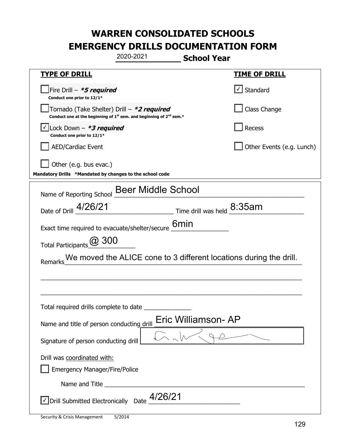|                                                                                    | 2020-2021                                                                     | <b>School Year</b>                                 |                                                                    |
|------------------------------------------------------------------------------------|-------------------------------------------------------------------------------|----------------------------------------------------|--------------------------------------------------------------------|
| <u>TYPE OF DRILL</u>                                                               |                                                                               |                                                    | <u>TIME OF DRILL</u>                                               |
| Fire Drill - *5 required<br>Conduct one prior to 12/1*                             |                                                                               |                                                    | √ Standard                                                         |
| Tornado (Take Shelter) Drill - *2 required                                         | Conduct one at the beginning of $1^{st}$ sem. and beginning of $2^{nd}$ sem.* |                                                    | Class Change                                                       |
| Lock Down - *3 required<br>Conduct one prior to 12/1*                              |                                                                               |                                                    | Recess                                                             |
| AED/Cardiac Event                                                                  |                                                                               |                                                    | Other Events (e.g. Lunch)                                          |
| Other (e.g. bus evac.)<br>Mandatory Drills *Mandated by changes to the school code |                                                                               |                                                    |                                                                    |
| Name of Reporting School                                                           | <b>Beer Middle School</b>                                                     |                                                    |                                                                    |
| Date of Drill 4/26/21                                                              |                                                                               | $\frac{1}{2}$ Time drill was held $\frac{8:35}{2}$ |                                                                    |
| Exact time required to evacuate/shelter/secure                                     |                                                                               | 6 <sub>min</sub>                                   |                                                                    |
| Total Participants @ 300                                                           |                                                                               |                                                    |                                                                    |
| Remarks                                                                            |                                                                               |                                                    | We moved the ALICE cone to 3 different locations during the drill. |
|                                                                                    |                                                                               |                                                    |                                                                    |
|                                                                                    |                                                                               |                                                    |                                                                    |
| Total required drills complete to date                                             |                                                                               |                                                    |                                                                    |
| Name and title of person conducting drill                                          |                                                                               | Eric Williamson- AP                                |                                                                    |
| Signature of person conducting drill                                               |                                                                               |                                                    |                                                                    |
| Drill was coordinated with:                                                        |                                                                               |                                                    |                                                                    |
| <b>Emergency Manager/Fire/Police</b>                                               |                                                                               |                                                    |                                                                    |
|                                                                                    |                                                                               |                                                    |                                                                    |
| $\vee$ Drill Submitted Electronically Date $\_$ 4/26/21                            |                                                                               |                                                    |                                                                    |

t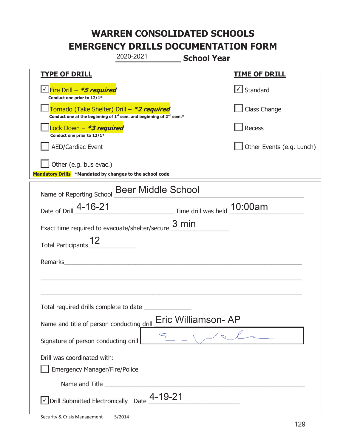|                                                                                    | 2020-2021                                                                                   | <b>School Year</b>  |                                   |
|------------------------------------------------------------------------------------|---------------------------------------------------------------------------------------------|---------------------|-----------------------------------|
| <b>TYPE OF DRILL</b>                                                               |                                                                                             |                     | <b>TIME OF DRILL</b>              |
| Fire Drill - <b>*5 required</b><br>Conduct one prior to 12/1*                      |                                                                                             |                     | $\lfloor \angle \rfloor$ Standard |
| Tornado (Take Shelter) Drill – *2 required                                         | Conduct one at the beginning of 1 <sup>st</sup> sem. and beginning of 2 <sup>nd</sup> sem.* |                     | Class Change                      |
| Lock Down - *3 required<br>Conduct one prior to 12/1*                              |                                                                                             |                     | Recess                            |
| <b>AED/Cardiac Event</b>                                                           |                                                                                             |                     | Other Events (e.g. Lunch)         |
| Other (e.g. bus evac.)<br>Mandatory Drills *Mandated by changes to the school code |                                                                                             |                     |                                   |
| Name of Reporting School                                                           | <b>Beer Middle School</b>                                                                   |                     |                                   |
| Date of Drill _4-16-21                                                             | Time drill was held 10:00am                                                                 |                     |                                   |
| Exact time required to evacuate/shelter/secure $\frac{3 \text{ min}}{2}$           |                                                                                             |                     |                                   |
| Total Participants_                                                                |                                                                                             |                     |                                   |
| Remarks                                                                            | <u> 1980 - John Stein, mars and de Brandenberg (b. 1980)</u>                                |                     |                                   |
|                                                                                    |                                                                                             |                     |                                   |
| Total required drills complete to date                                             |                                                                                             |                     |                                   |
| Name and title of person conducting drill                                          |                                                                                             | Eric Williamson- AP |                                   |
| Signature of person conducting drill                                               |                                                                                             |                     |                                   |
| Drill was coordinated with:<br><b>Emergency Manager/Fire/Police</b>                |                                                                                             |                     |                                   |
|                                                                                    |                                                                                             |                     |                                   |
| $\sqrt{}$ Drill Submitted Electronically Date $\frac{4\text{-}19\text{-}21}{}$     |                                                                                             |                     |                                   |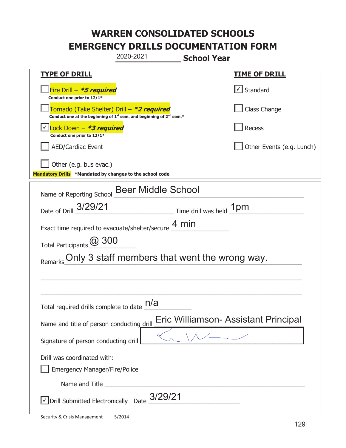|                                                                                    | 2020-2021                                                                                   | <b>School Year</b>                            |                           |
|------------------------------------------------------------------------------------|---------------------------------------------------------------------------------------------|-----------------------------------------------|---------------------------|
| <b>TYPE OF DRILL</b>                                                               |                                                                                             |                                               | <b>TIME OF DRILL</b>      |
| Fire Drill - *5 required<br>Conduct one prior to 12/1*                             |                                                                                             |                                               | $\checkmark$ Standard     |
| Tornado (Take Shelter) Drill – *2 required                                         | Conduct one at the beginning of 1 <sup>st</sup> sem. and beginning of 2 <sup>nd</sup> sem.* |                                               | Class Change              |
| Lock Down $-$ <b>*3 required</b><br>Conduct one prior to 12/1*                     |                                                                                             |                                               | Recess                    |
| <b>AED/Cardiac Event</b>                                                           |                                                                                             |                                               | Other Events (e.g. Lunch) |
| Other (e.g. bus evac.)<br>Mandatory Drills *Mandated by changes to the school code |                                                                                             |                                               |                           |
| Name of Reporting School                                                           | <b>Beer Middle School</b>                                                                   |                                               |                           |
| Date of Drill 3/29/21                                                              |                                                                                             | $\_$ Time drill was held $\_1pm$              |                           |
| Exact time required to evacuate/shelter/secure $\underline{4}\,\text{min}$         |                                                                                             |                                               |                           |
| Total Participants @ 300                                                           |                                                                                             |                                               |                           |
|                                                                                    |                                                                                             | Only 3 staff members that went the wrong way. |                           |
|                                                                                    |                                                                                             |                                               |                           |
|                                                                                    |                                                                                             |                                               |                           |
| Total required drills complete to date $\underline{\mathsf{h}/\mathsf{a}}$         |                                                                                             |                                               |                           |
| Name and title of person conducting drill                                          |                                                                                             | Eric Williamson- Assistant Principal          |                           |
| Signature of person conducting drill                                               |                                                                                             |                                               |                           |
| Drill was coordinated with:<br><b>Emergency Manager/Fire/Police</b>                |                                                                                             |                                               |                           |
|                                                                                    |                                                                                             |                                               |                           |
| $\sqrt{}$ Drill Submitted Electronically Date $_{-}3/29/21$                        |                                                                                             |                                               |                           |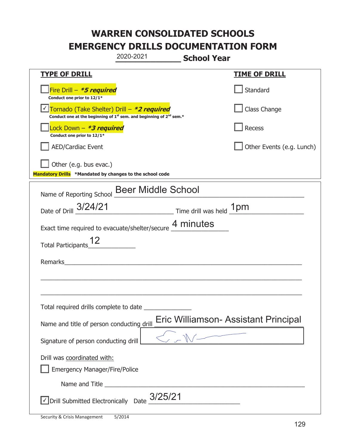|                                                                                    | 2020-2021                                                                                   | <b>School Year</b> |                                      |
|------------------------------------------------------------------------------------|---------------------------------------------------------------------------------------------|--------------------|--------------------------------------|
| <u>TYPE OF DRILL</u>                                                               |                                                                                             |                    | <b>TIME OF DRILL</b>                 |
| Fire Drill - *5 required<br>Conduct one prior to 12/1*                             |                                                                                             |                    | Standard                             |
| Tornado (Take Shelter) Drill – *2 required                                         | Conduct one at the beginning of 1 <sup>st</sup> sem. and beginning of 2 <sup>nd</sup> sem.* |                    | Class Change                         |
| Lock Down - *3 required<br>Conduct one prior to 12/1*                              |                                                                                             |                    | Recess                               |
| <b>AED/Cardiac Event</b>                                                           |                                                                                             |                    | Other Events (e.g. Lunch)            |
| Other (e.g. bus evac.)<br>Mandatory Drills *Mandated by changes to the school code |                                                                                             |                    |                                      |
| Name of Reporting School                                                           | <b>Beer Middle School</b>                                                                   |                    |                                      |
| Date of Drill 3/24/21                                                              | Time drill was held 1pm                                                                     |                    |                                      |
| Exact time required to evacuate/shelter/secure 4 minutes                           |                                                                                             |                    |                                      |
| <b>Total Participants</b>                                                          |                                                                                             |                    |                                      |
| Remarks                                                                            |                                                                                             |                    |                                      |
|                                                                                    |                                                                                             |                    |                                      |
| Total required drills complete to date                                             |                                                                                             |                    |                                      |
| Name and title of person conducting drill                                          |                                                                                             |                    | Eric Williamson- Assistant Principal |
| Signature of person conducting drill                                               |                                                                                             |                    |                                      |
| Drill was coordinated with:<br><b>Emergency Manager/Fire/Police</b>                |                                                                                             |                    |                                      |
|                                                                                    |                                                                                             |                    |                                      |
| $\vee$ Drill Submitted Electronically Date $3/25/21$                               |                                                                                             |                    |                                      |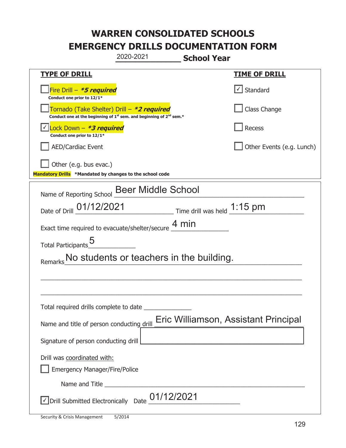|                                                                                    | 2020-2021                                                                                                                                 | <b>School Year</b> |                                      |
|------------------------------------------------------------------------------------|-------------------------------------------------------------------------------------------------------------------------------------------|--------------------|--------------------------------------|
| <b>TYPE OF DRILL</b>                                                               |                                                                                                                                           |                    | <u>TIME OF DRILL</u>                 |
| Fire Drill - *5 required<br>Conduct one prior to 12/1*                             |                                                                                                                                           |                    | √ Standard                           |
|                                                                                    | Tornado (Take Shelter) Drill – *2 required<br>Conduct one at the beginning of 1 <sup>st</sup> sem. and beginning of 2 <sup>nd</sup> sem.* |                    | Class Change                         |
| Lock Down - *3 required<br>Conduct one prior to 12/1*                              |                                                                                                                                           |                    | Recess                               |
| <b>AED/Cardiac Event</b>                                                           |                                                                                                                                           |                    | Other Events (e.g. Lunch)            |
| Other (e.g. bus evac.)<br>Mandatory Drills *Mandated by changes to the school code |                                                                                                                                           |                    |                                      |
| Name of Reporting School                                                           | <b>Beer Middle School</b>                                                                                                                 |                    |                                      |
|                                                                                    | Date of Drill $01/12/2021$ Time drill was held $1:15$ pm                                                                                  |                    |                                      |
|                                                                                    | Exact time required to evacuate/shelter/secure $\underline{4}\,\text{min}$                                                                |                    |                                      |
| Total Participants_5                                                               |                                                                                                                                           |                    |                                      |
|                                                                                    | No students or teachers in the building.                                                                                                  |                    |                                      |
|                                                                                    |                                                                                                                                           |                    |                                      |
|                                                                                    |                                                                                                                                           |                    |                                      |
| Total required drills complete to date                                             |                                                                                                                                           |                    |                                      |
| Name and title of person conducting drill                                          |                                                                                                                                           |                    | Eric Williamson, Assistant Principal |
| Signature of person conducting drill                                               |                                                                                                                                           |                    |                                      |
| Drill was coordinated with:<br><b>Emergency Manager/Fire/Police</b>                |                                                                                                                                           |                    |                                      |
|                                                                                    |                                                                                                                                           |                    |                                      |
| √ Drill Submitted Electronically Date                                              | 01/12/2021                                                                                                                                |                    |                                      |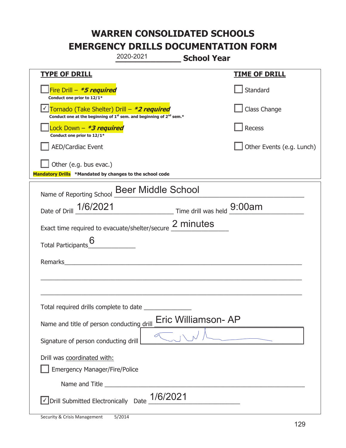|                                                                                    | 2020-2021                                                                                   | <b>School Year</b>         |                           |
|------------------------------------------------------------------------------------|---------------------------------------------------------------------------------------------|----------------------------|---------------------------|
| <b>TYPE OF DRILL</b>                                                               |                                                                                             |                            | <b>TIME OF DRILL</b>      |
| Fire Drill $-$ <i>*5 required</i><br>Conduct one prior to 12/1*                    |                                                                                             |                            | Standard                  |
| Tornado (Take Shelter) Drill – *2 required                                         | Conduct one at the beginning of 1 <sup>st</sup> sem. and beginning of 2 <sup>nd</sup> sem.* |                            | Class Change              |
| Lock Down - *3 required<br>Conduct one prior to 12/1*                              |                                                                                             |                            | Recess                    |
| <b>AED/Cardiac Event</b>                                                           |                                                                                             |                            | Other Events (e.g. Lunch) |
| Other (e.g. bus evac.)<br>Mandatory Drills *Mandated by changes to the school code |                                                                                             |                            |                           |
| Name of Reporting School                                                           | <b>Beer Middle School</b>                                                                   |                            |                           |
| Date of Drill 1/6/2021                                                             |                                                                                             | Time drill was held 9:00am |                           |
| Exact time required to evacuate/shelter/secure 2 minutes                           |                                                                                             |                            |                           |
| Total Participants                                                                 |                                                                                             |                            |                           |
| Remarks                                                                            |                                                                                             |                            |                           |
|                                                                                    |                                                                                             |                            |                           |
| Total required drills complete to date                                             |                                                                                             |                            |                           |
| Name and title of person conducting drill                                          |                                                                                             | Eric Williamson-AP         |                           |
| Signature of person conducting drill                                               |                                                                                             |                            |                           |
| Drill was coordinated with:                                                        |                                                                                             |                            |                           |
| <b>Emergency Manager/Fire/Police</b>                                               |                                                                                             |                            |                           |
|                                                                                    | 1/6/2021                                                                                    |                            |                           |
| √ Drill Submitted Electronically Date                                              |                                                                                             |                            |                           |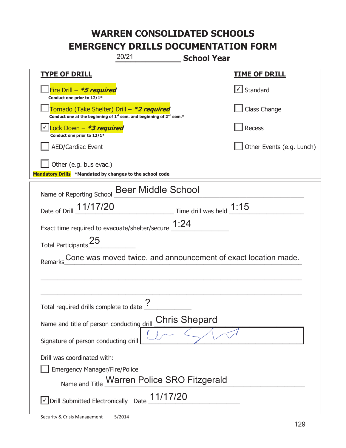| 20/21                                                                                                                       | <b>School Year</b>        |  |  |
|-----------------------------------------------------------------------------------------------------------------------------|---------------------------|--|--|
| <b>TYPE OF DRILL</b>                                                                                                        | <u>TIME OF DRILL</u>      |  |  |
| Fire Drill - *5 required<br>Conduct one prior to 12/1*                                                                      | $\lfloor$ Standard        |  |  |
| Tornado (Take Shelter) Drill – *2 required<br>Conduct one at the beginning of $1^{st}$ sem. and beginning of $2^{nd}$ sem.* | Class Change              |  |  |
| Lock Down - *3 required<br>Conduct one prior to 12/1*                                                                       | Recess                    |  |  |
| <b>AED/Cardiac Event</b>                                                                                                    | Other Events (e.g. Lunch) |  |  |
| Other (e.g. bus evac.)<br>Mandatory Drills *Mandated by changes to the school code                                          |                           |  |  |
| Name of Reporting School Beer Middle School                                                                                 |                           |  |  |
| Date of Drill 11/17/20 Time drill was held 1:15                                                                             |                           |  |  |
| Exact time required to evacuate/shelter/secure $\underline{1:}24$                                                           |                           |  |  |
| Total Participants <sup>25</sup>                                                                                            |                           |  |  |
| Cone was moved twice, and announcement of exact location made.<br>Remarks                                                   |                           |  |  |
|                                                                                                                             |                           |  |  |
|                                                                                                                             |                           |  |  |
| $\boldsymbol{\gamma}$<br>Total required drills complete to date $\frac{1}{2}$                                               |                           |  |  |
| <b>Chris Shepard</b><br>Name and title of person conducting drill                                                           |                           |  |  |
| Signature of person conducting drill                                                                                        |                           |  |  |
| Drill was coordinated with:                                                                                                 |                           |  |  |
| <b>Emergency Manager/Fire/Police</b>                                                                                        |                           |  |  |
| Name and Title Warren Police SRO Fitzgerald                                                                                 |                           |  |  |
| $\vee$ Drill Submitted Electronically Date $\underline{11/17/20}$                                                           |                           |  |  |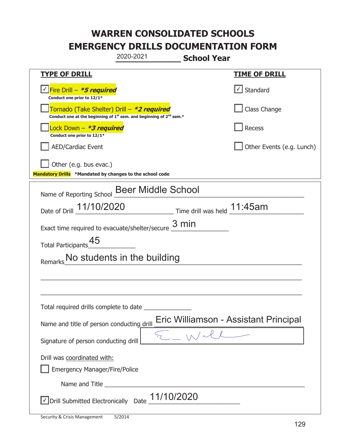|                                                                                             | 2020-2021                                                                                   | <b>School Year</b>          |                                       |
|---------------------------------------------------------------------------------------------|---------------------------------------------------------------------------------------------|-----------------------------|---------------------------------------|
| <b>TYPE OF DRILL</b>                                                                        |                                                                                             |                             | <b>TIME OF DRILL</b>                  |
| <u> √ <mark>Fire Drill – <i>*<b>5 required</b></i></mark></u><br>Conduct one prior to 12/1* |                                                                                             |                             | √ Standard                            |
| Tornado (Take Shelter) Drill – *2 required                                                  | Conduct one at the beginning of 1 <sup>st</sup> sem. and beginning of 2 <sup>nd</sup> sem.* |                             | Class Change                          |
| Lock Down – <b>*3 required</b><br>Conduct one prior to 12/1*                                |                                                                                             |                             | Recess                                |
| <b>AED/Cardiac Event</b>                                                                    |                                                                                             |                             | Other Events (e.g. Lunch)             |
| Other (e.g. bus evac.)<br>Mandatory Drills *Mandated by changes to the school code          |                                                                                             |                             |                                       |
| Name of Reporting School                                                                    | <b>Beer Middle School</b>                                                                   |                             |                                       |
| Date of Drill 11/10/2020                                                                    |                                                                                             | Time drill was held 11:45am |                                       |
| Exact time required to evacuate/shelter/secure $\frac{3 \text{ min}}{2}$                    |                                                                                             |                             |                                       |
| 45<br><b>Total Participants</b>                                                             |                                                                                             |                             |                                       |
| Remarks No students in the building                                                         |                                                                                             |                             |                                       |
|                                                                                             |                                                                                             |                             |                                       |
|                                                                                             |                                                                                             |                             |                                       |
| Total required drills complete to date                                                      |                                                                                             |                             |                                       |
| Name and title of person conducting drill                                                   |                                                                                             |                             | Eric Williamson - Assistant Principal |
| Signature of person conducting drill                                                        |                                                                                             |                             |                                       |
| Drill was coordinated with:                                                                 |                                                                                             |                             |                                       |
| <b>Emergency Manager/Fire/Police</b>                                                        |                                                                                             |                             |                                       |
|                                                                                             |                                                                                             |                             |                                       |
| √Drill Submitted Electronically Date 11/10/2020                                             |                                                                                             |                             |                                       |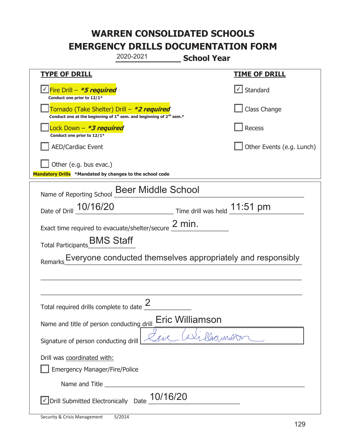|                                                                                    | 2020-2021                                                                                   | <b>School Year</b>                                             |                                                             |
|------------------------------------------------------------------------------------|---------------------------------------------------------------------------------------------|----------------------------------------------------------------|-------------------------------------------------------------|
| <u>TYPE OF DRILL</u>                                                               |                                                                                             |                                                                | <b>TIME OF DRILL</b>                                        |
| √Fire Drill – <b>*5 required</b><br>Conduct one prior to 12/1*                     |                                                                                             |                                                                | √ Standard                                                  |
| Tornado (Take Shelter) Drill – *2 required                                         | Conduct one at the beginning of 1 <sup>st</sup> sem. and beginning of 2 <sup>nd</sup> sem.* |                                                                | Class Change                                                |
| Lock Down – <i>*<b>3 required</b></i><br>Conduct one prior to 12/1*                |                                                                                             |                                                                | Recess                                                      |
| <b>AED/Cardiac Event</b>                                                           |                                                                                             |                                                                | Other Events (e.g. Lunch)                                   |
| Other (e.g. bus evac.)<br>Mandatory Drills *Mandated by changes to the school code |                                                                                             |                                                                |                                                             |
| Name of Reporting School Beer Middle School                                        |                                                                                             |                                                                |                                                             |
| Date of Drill 10/16/20                                                             |                                                                                             | $\frac{11.51}{100}$ Time drill was held $\frac{11.51}{100}$ pm |                                                             |
| Exact time required to evacuate/shelter/secure $2$ min.                            |                                                                                             |                                                                |                                                             |
| Total Participants_BMS Staff                                                       |                                                                                             |                                                                |                                                             |
| Remarks                                                                            |                                                                                             |                                                                | Everyone conducted themselves appropriately and responsibly |
|                                                                                    |                                                                                             |                                                                |                                                             |
|                                                                                    |                                                                                             |                                                                |                                                             |
| Total required drills complete to date $\frac{2}{3}$                               |                                                                                             |                                                                |                                                             |
| Name and title of person conducting drill                                          |                                                                                             | Eric Williamson                                                |                                                             |
| Signature of person conducting drill                                               |                                                                                             | Plummerton                                                     |                                                             |
| Drill was coordinated with:<br><b>Emergency Manager/Fire/Police</b>                |                                                                                             |                                                                |                                                             |
|                                                                                    |                                                                                             |                                                                |                                                             |
| √ Drill Submitted Electronically Date                                              | 10/16/20                                                                                    |                                                                |                                                             |

t